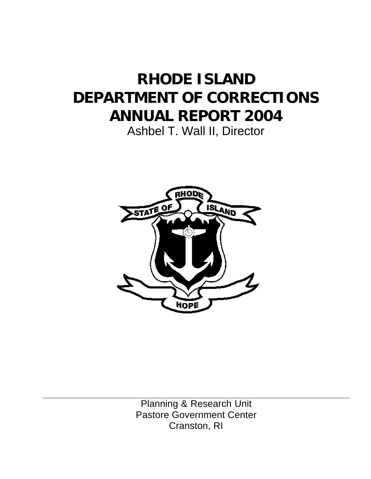# **RHODE ISLAND DEPARTMENT OF CORRECTIONS ANNUAL REPORT 2004**

Ashbel T. Wall II, Director



Planning & Research Unit Pastore Government Center Cranston, RI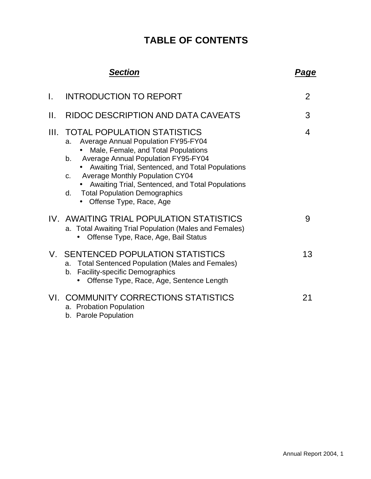## **TABLE OF CONTENTS**

|      | <b>Section</b>                                                                                                                                                                                                                                                                                                                                                                                                                   | Page           |
|------|----------------------------------------------------------------------------------------------------------------------------------------------------------------------------------------------------------------------------------------------------------------------------------------------------------------------------------------------------------------------------------------------------------------------------------|----------------|
| L.   | <b>INTRODUCTION TO REPORT</b>                                                                                                                                                                                                                                                                                                                                                                                                    | $\overline{2}$ |
| Н.   | RIDOC DESCRIPTION AND DATA CAVEATS                                                                                                                                                                                                                                                                                                                                                                                               | 3              |
| III. | <b>TOTAL POPULATION STATISTICS</b><br><b>Average Annual Population FY95-FY04</b><br>a.<br>Male, Female, and Total Populations<br><b>Average Annual Population FY95-FY04</b><br>$b_{\cdot}$<br>Awaiting Trial, Sentenced, and Total Populations<br><b>Average Monthly Population CY04</b><br>$C_{r}$<br>Awaiting Trial, Sentenced, and Total Populations<br><b>Total Population Demographics</b><br>d.<br>Offense Type, Race, Age | 4              |
|      | IV. AWAITING TRIAL POPULATION STATISTICS<br>a. Total Awaiting Trial Population (Males and Females)<br>Offense Type, Race, Age, Bail Status                                                                                                                                                                                                                                                                                       | 9              |
|      | V. SENTENCED POPULATION STATISTICS<br><b>Total Sentenced Population (Males and Females)</b><br>a.<br>Facility-specific Demographics<br>b.<br>Offense Type, Race, Age, Sentence Length                                                                                                                                                                                                                                            | 13             |
|      | VI. COMMUNITY CORRECTIONS STATISTICS<br>a. Probation Population<br>b. Parole Population                                                                                                                                                                                                                                                                                                                                          | 21             |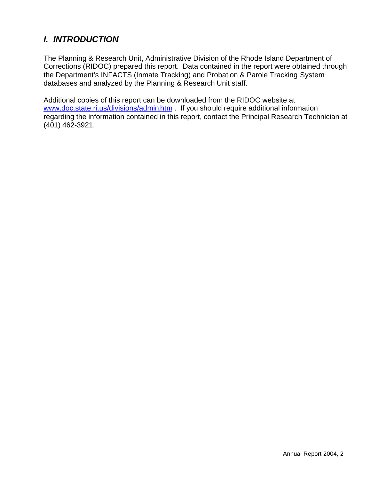### *I. INTRODUCTION*

The Planning & Research Unit, Administrative Division of the Rhode Island Department of Corrections (RIDOC) prepared this report. Data contained in the report were obtained through the Department's INFACTS (Inmate Tracking) and Probation & Parole Tracking System databases and analyzed by the Planning & Research Unit staff.

Additional copies of this report can be downloaded from the RIDOC website at www.doc.state.ri.us/divisions/admin.htm . If you should require additional information regarding the information contained in this report, contact the Principal Research Technician at (401) 462-3921.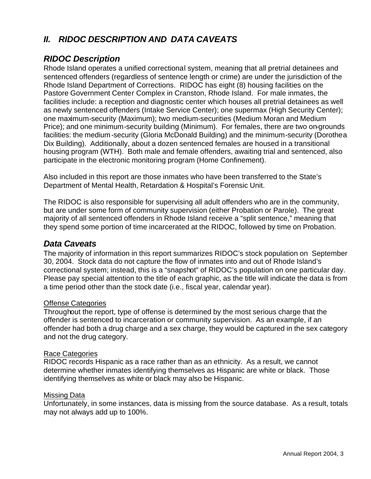### *II.**RIDOC DESCRIPTION AND DATA CAVEATS*

### *RIDOC Description*

Rhode Island operates a unified correctional system, meaning that all pretrial detainees and sentenced offenders (regardless of sentence length or crime) are under the jurisdiction of the Rhode Island Department of Corrections. RIDOC has eight (8) housing facilities on the Pastore Government Center Complex in Cranston, Rhode Island. For male inmates, the facilities include: a reception and diagnostic center which houses all pretrial detainees as well as newly sentenced offenders (Intake Service Center); one supermax (High Security Center); one maximum-security (Maximum); two medium-securities (Medium Moran and Medium Price); and one minimum-security building (Minimum). For females, there are two on-grounds facilities: the medium-security (Gloria McDonald Building) and the minimum-security (Dorothea Dix Building). Additionally, about a dozen sentenced females are housed in a transitional housing program (WTH). Both male and female offenders, awaiting trial and sentenced, also participate in the electronic monitoring program (Home Confinement).

Also included in this report are those inmates who have been transferred to the State's Department of Mental Health, Retardation & Hospital's Forensic Unit.

The RIDOC is also responsible for supervising all adult offenders who are in the community, but are under some form of community supervision (either Probation or Parole). The great majority of all sentenced offenders in Rhode Island receive a "split sentence," meaning that they spend some portion of time incarcerated at the RIDOC, followed by time on Probation.

#### *Data Caveats*

The majority of information in this report summarizes RIDOC's stock population on September 30, 2004. Stock data do not capture the flow of inmates into and out of Rhode Island's correctional system; instead, this is a "snapshot" of RIDOC's population on one particular day. Please pay special attention to the title of each graphic, as the title will indicate the data is from a time period other than the stock date (i.e., fiscal year, calendar year).

#### Offense Categories

Throughout the report, type of offense is determined by the most serious charge that the offender is sentenced to incarceration or community supervision. As an example, if an offender had both a drug charge and a sex charge, they would be captured in the sex category and not the drug category.

#### Race Categories

RIDOC records Hispanic as a race rather than as an ethnicity. As a result, we cannot determine whether inmates identifying themselves as Hispanic are white or black. Those identifying themselves as white or black may also be Hispanic.

#### Missing Data

Unfortunately, in some instances, data is missing from the source database. As a result, totals may not always add up to 100%.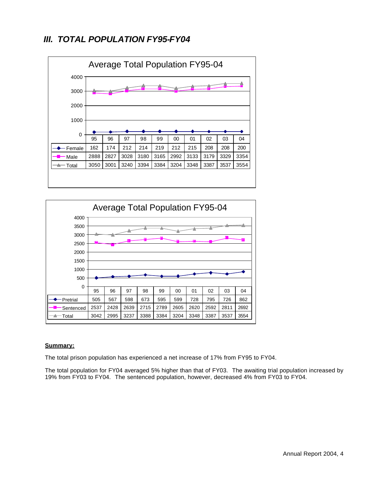### *III. TOTAL POPULATION FY95-FY04*





#### **Summary:**

The total prison population has experienced a net increase of 17% from FY95 to FY04.

The total population for FY04 averaged 5% higher than that of FY03.The awaiting trial population increased by 19% from FY03 to FY04.The sentenced population, however, decreased 4% from FY03 to FY04.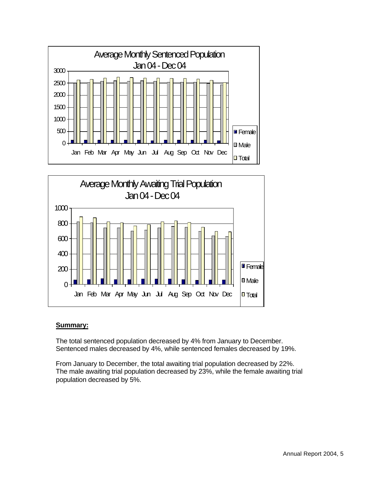



#### **Summary:**

The total sentenced population decreased by 4% from January to December. Sentenced males decreased by 4%, while sentenced females decreased by 19%.

From January to December, the total awaiting trial population decreased by 22%. The male awaiting trial population decreased by 23%, while the female awaiting trial population decreased by 5%.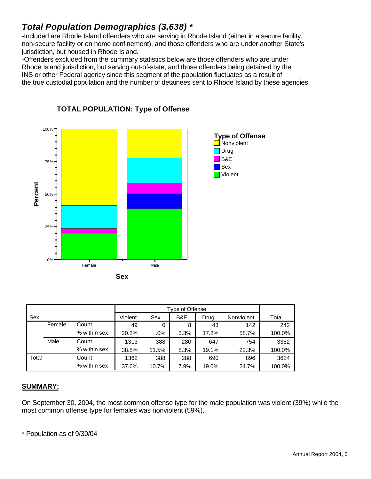### *Total Population Demographics (3,638) \**

-Included are Rhode Island offenders who are serving in Rhode Island (either in a secure facility, non-secure facility or on home confinement), and those offenders who are under another State's jurisdiction, but housed in Rhode Island.

-Offenders excluded from the summary statistics below are those offenders who are under Rhode Island jurisdiction, but serving out-of-state, and those offenders being detained by the INS or other Federal agency since this segment of the population fluctuates as a result of the true custodial population and the number of detainees sent to Rhode Island by these agencies.



**TOTAL POPULATION: Type of Offense**

|       |        |              |         |       | Type of Offense |       |            |        |
|-------|--------|--------------|---------|-------|-----------------|-------|------------|--------|
| Sex   |        |              | Violent | Sex   | B&E             | Drug  | Nonviolent | Total  |
|       | Female | Count        | 49      | 0     | 8               | 43    | 142        | 242    |
|       |        | % within sex | 20.2%   | .0%   | 3.3%            | 17.8% | 58.7%      | 100.0% |
|       | Male   | Count        | 1313    | 388   | 280             | 647   | 754        | 3382   |
|       |        | % within sex | 38.8%   | 11.5% | 8.3%            | 19.1% | 22.3%      | 100.0% |
| Total |        | Count        | 1362    | 388   | 288             | 690   | 896        | 3624   |
|       |        | % within sex | 37.6%   | 10.7% | 7.9%            | 19.0% | 24.7%      | 100.0% |

#### **SUMMARY:**

On September 30, 2004, the most common offense type for the male population was violent (39%) while the most common offense type for females was nonviolent (59%).

\* Population as of 9/30/04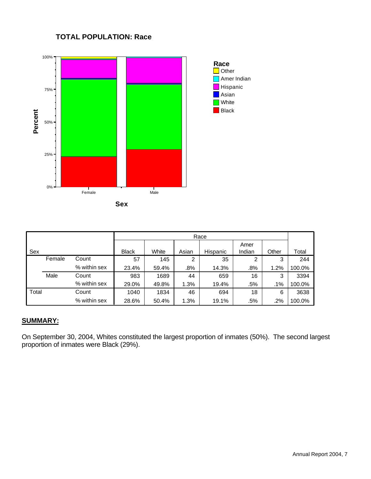#### **TOTAL POPULATION: Race**



|       |        |              |              |       |        | Race     |                |       |        |
|-------|--------|--------------|--------------|-------|--------|----------|----------------|-------|--------|
| Sex   |        |              | <b>Black</b> | White | Asian  | Hispanic | Amer<br>Indian | Other | Total  |
|       | Female | Count        | 57           | 145   | 2      | 35       | 2              | 3     | 244    |
|       |        | % within sex | 23.4%        | 59.4% | $.8\%$ | 14.3%    | .8%            | 1.2%  | 100.0% |
|       | Male   | Count        | 983          | 1689  | 44     | 659      | 16             | 3     | 3394   |
|       |        | % within sex | 29.0%        | 49.8% | 1.3%   | 19.4%    | .5%            | .1%   | 100.0% |
| Total |        | Count        | 1040         | 1834  | 46     | 694      | 18             | 6     | 3638   |
|       |        | % within sex | 28.6%        | 50.4% | 1.3%   | 19.1%    | .5%            | .2%   | 100.0% |

#### **SUMMARY:**

On September 30, 2004, Whites constituted the largest proportion of inmates (50%). The second largest proportion of inmates were Black (29%).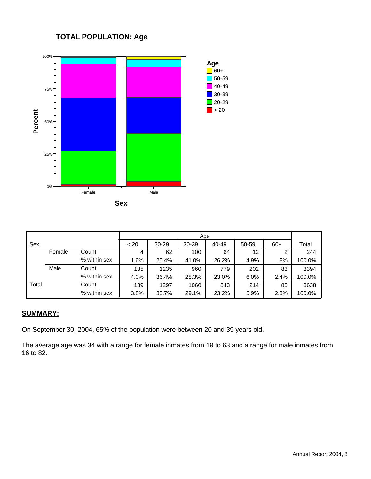#### **TOTAL POPULATION: Age**



|       |        |              |      | Age   |       |       |       |       |        |  |  |
|-------|--------|--------------|------|-------|-------|-------|-------|-------|--------|--|--|
| Sex   |        |              | < 20 | 20-29 | 30-39 | 40-49 | 50-59 | $60+$ | Total  |  |  |
|       | Female | Count        | 4    | 62    | 100   | 64    | 12    | 2     | 244    |  |  |
|       |        | % within sex | 1.6% | 25.4% | 41.0% | 26.2% | 4.9%  | .8%   | 100.0% |  |  |
|       | Male   | Count        | 135  | 1235  | 960   | 779   | 202   | 83    | 3394   |  |  |
|       |        | % within sex | 4.0% | 36.4% | 28.3% | 23.0% | 6.0%  | 2.4%  | 100.0% |  |  |
| Total |        | Count        | 139  | 1297  | 1060  | 843   | 214   | 85    | 3638   |  |  |
|       |        | % within sex | 3.8% | 35.7% | 29.1% | 23.2% | 5.9%  | 2.3%  | 100.0% |  |  |

#### **SUMMARY:**

On September 30, 2004, 65% of the population were between 20 and 39 years old.

The average age was 34 with a range for female inmates from 19 to 63 and a range for male inmates from 16 to 82.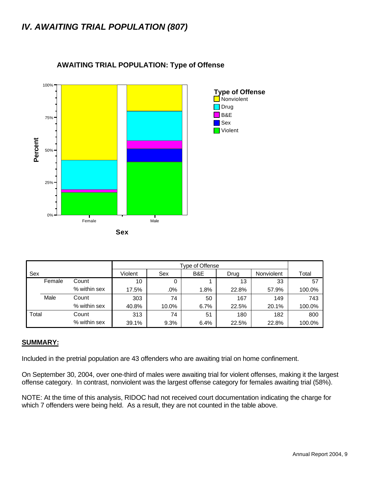### *IV. AWAITING TRIAL POPULATION (807)*



#### **AWAITING TRIAL POPULATION: Type of Offense**

| Sex   |        |              | Violent | Sex   | B&E  | Drug  | Nonviolent | Total  |
|-------|--------|--------------|---------|-------|------|-------|------------|--------|
|       | Female | Count        | 10      | 0     |      | 13    | 33         | 57     |
|       |        | % within sex | 17.5%   | .0%   | 1.8% | 22.8% | 57.9%      | 100.0% |
|       | Male   | Count        | 303     | 74    | 50   | 167   | 149        | 743    |
|       |        | % within sex | 40.8%   | 10.0% | 6.7% | 22.5% | 20.1%      | 100.0% |
| Total |        | Count        | 313     | 74    | 51   | 180   | 182        | 800    |
|       |        | % within sex | 39.1%   | 9.3%  | 6.4% | 22.5% | 22.8%      | 100.0% |

#### **SUMMARY:**

Included in the pretrial population are 43 offenders who are awaiting trial on home confinement.

On September 30, 2004, over one-third of males were awaiting trial for violent offenses, making it the largest offense category. In contrast, nonviolent was the largest offense category for females awaiting trial (58%).

NOTE: At the time of this analysis, RIDOC had not received court documentation indicating the charge for which 7 offenders were being held. As a result, they are not counted in the table above.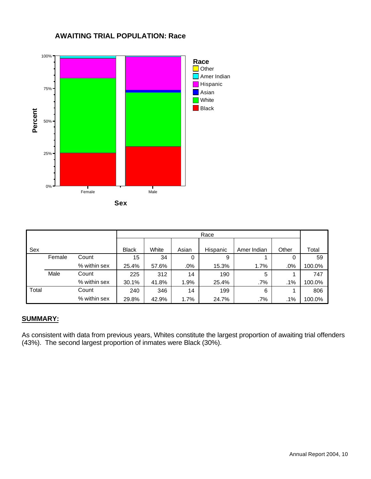



|       |        |              |              |       |       | Race     |             |       |        |
|-------|--------|--------------|--------------|-------|-------|----------|-------------|-------|--------|
| Sex   |        |              | <b>Black</b> | White | Asian | Hispanic | Amer Indian | Other | Total  |
|       | Female | Count        | 15           | 34    | 0     | 9        |             | 0     | 59     |
|       |        | % within sex | 25.4%        | 57.6% | .0%   | 15.3%    | 1.7%        | .0%   | 100.0% |
|       | Male   | Count        | 225          | 312   | 14    | 190      | 5           |       | 747    |
|       |        | % within sex | 30.1%        | 41.8% | 1.9%  | 25.4%    | $.7\%$      | .1%   | 100.0% |
| Total |        | Count        | 240          | 346   | 14    | 199      | 6           |       | 806    |
|       |        | % within sex | 29.8%        | 42.9% | 1.7%  | 24.7%    | $.7\%$      | .1%   | 100.0% |

#### **SUMMARY:**

As consistent with data from previous years, Whites constitute the largest proportion of awaiting trial offenders (43%). The second largest proportion of inmates were Black (30%).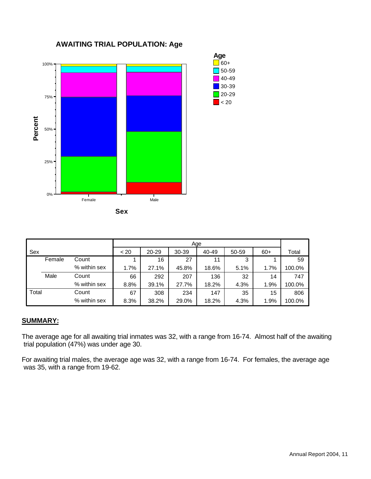

#### 1 | 16 | 27 | 11 | 3 | 1 | 59 1.7% | 27.1% | 45.8% | 18.6% | 5.1% | 1.7% | 100.0% 66 292 207 136 32 14 747 8.8% 39.1% 27.7% 18.2% 4.3% 1.9% 100.0% 67 | 308 | 234 | 147 | 35 | 15 | 806 8.3% | 38.2% | 29.0% | 18.2% | 4.3% | 1.9% | 100.0% **Count** % within sex **Count** % within sex **Count** % within sex Sex Female Male Total < 20 20-29 30-39 40-49 50-59 60+ Age Total

#### **SUMMARY:**

The average age for all awaiting trial inmates was 32, with a range from 16-74. Almost half of the awaiting trial population (47%) was under age 30.

For awaiting trial males, the average age was 32, with a range from 16-74. For females, the average age was 35, with a range from 19-62.

#### **AWAITING TRIAL POPULATION: Age**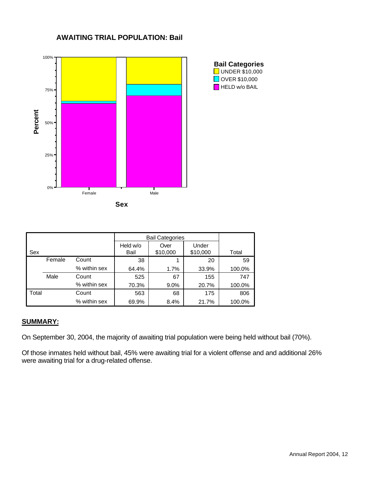

#### **AWAITING TRIAL POPULATION: Bail**

|       |        |              |                  | <b>Bail Categories</b> |                   |        |
|-------|--------|--------------|------------------|------------------------|-------------------|--------|
| Sex   |        |              | Held w/o<br>Bail | Over<br>\$10,000       | Under<br>\$10,000 | Total  |
|       | Female | Count        | 38               |                        | 20                | 59     |
|       |        | % within sex | 64.4%            | 1.7%                   | 33.9%             | 100.0% |
|       | Male   | Count        | 525              | 67                     | 155               | 747    |
|       |        | % within sex | 70.3%            | $9.0\%$                | 20.7%             | 100.0% |
| Total |        | Count        | 563              | 68                     | 175               | 806    |
|       |        | % within sex | 69.9%            | 8.4%                   | 21.7%             | 100.0% |

#### **SUMMARY:**

On September 30, 2004, the majority of awaiting trial population were being held without bail (70%).

Of those inmates held without bail, 45% were awaiting trial for a violent offense and and additional 26% were awaiting trial for a drug-related offense.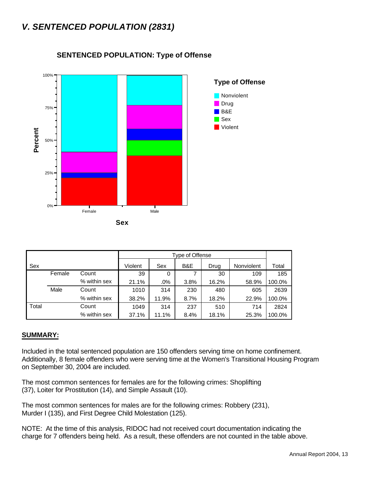### *V. SENTENCED POPULATION (2831)*



#### **SENTENCED POPULATION: Type of Offense**



|       |        |              |         |        | Type of Offense |       |            |        |
|-------|--------|--------------|---------|--------|-----------------|-------|------------|--------|
| Sex   |        |              | Violent | Sex    | B&E             | Drug  | Nonviolent | Total  |
|       | Female | Count        | 39      | 0      | 7               | 30    | 109        | 185    |
|       |        | % within sex | 21.1%   | $.0\%$ | 3.8%            | 16.2% | 58.9%      | 100.0% |
|       | Male   | Count        | 1010    | 314    | 230             | 480   | 605        | 2639   |
|       |        | % within sex | 38.2%   | 11.9%  | 8.7%            | 18.2% | 22.9%      | 100.0% |
| Total |        | Count        | 1049    | 314    | 237             | 510   | 714        | 2824   |
|       |        | % within sex | 37.1%   | 11.1%  | 8.4%            | 18.1% | 25.3%      | 100.0% |

#### **SUMMARY:**

Included in the total sentenced population are 150 offenders serving time on home confinement. Additionally, 8 female offenders who were serving time at the Women's Transitional Housing Program on September 30, 2004 are included.

The most common sentences for females are for the following crimes: Shoplifting (37), Loiter for Prostitution (14), and Simple Assault (10).

The most common sentences for males are for the following crimes: Robbery (231), Murder I (135), and First Degree Child Molestation (125).

NOTE: At the time of this analysis, RIDOC had not received court documentation indicating the charge for 7 offenders being held. As a result, these offenders are not counted in the table above.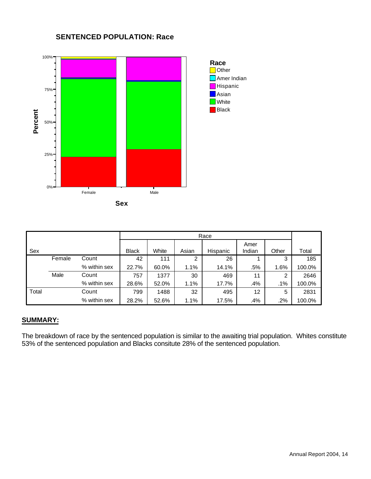

#### **SENTENCED POPULATION: Race**

|       |        |              |              |       |       | Race     |                |       |        |
|-------|--------|--------------|--------------|-------|-------|----------|----------------|-------|--------|
| Sex   |        |              | <b>Black</b> | White | Asian | Hispanic | Amer<br>Indian | Other | Total  |
|       | Female | Count        | 42           | 111   | 2     | 26       |                | 3     | 185    |
|       |        | % within sex | 22.7%        | 60.0% | 1.1%  | 14.1%    | .5%            | 1.6%  | 100.0% |
|       | Male   | Count        | 757          | 1377  | 30    | 469      | 11             | 2     | 2646   |
|       |        | % within sex | 28.6%        | 52.0% | 1.1%  | 17.7%    | .4%            | .1%   | 100.0% |
| Total |        | Count        | 799          | 1488  | 32    | 495      | 12             | 5     | 2831   |
|       |        | % within sex | 28.2%        | 52.6% | 1.1%  | 17.5%    | .4%            | .2%   | 100.0% |

#### **SUMMARY:**

The breakdown of race by the sentenced population is similar to the awaiting trial population. Whites constitute 53% of the sentenced population and Blacks consitute 28% of the sentenced population.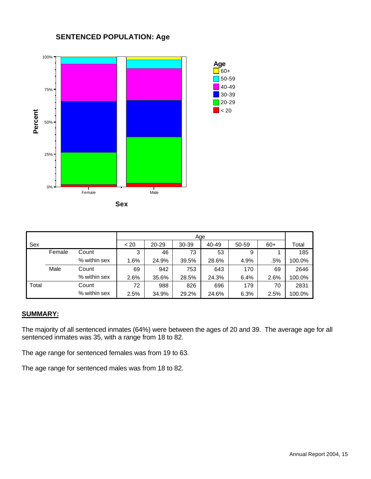#### **SENTENCED POPULATION: Age**



|       |        |              |      |           | Age       |       |       |       |        |
|-------|--------|--------------|------|-----------|-----------|-------|-------|-------|--------|
| Sex   |        |              | < 20 | $20 - 29$ | $30 - 39$ | 40-49 | 50-59 | $60+$ | Total  |
|       | Female | Count        | 3    | 46        | 73        | 53    | 9     |       | 185    |
|       |        | % within sex | 1.6% | 24.9%     | 39.5%     | 28.6% | 4.9%  | .5%   | 100.0% |
|       | Male   | Count        | 69   | 942       | 753       | 643   | 170   | 69    | 2646   |
|       |        | % within sex | 2.6% | 35.6%     | 28.5%     | 24.3% | 6.4%  | 2.6%  | 100.0% |
| Total |        | Count        | 72   | 988       | 826       | 696   | 179   | 70    | 2831   |
|       |        | % within sex | 2.5% | 34.9%     | 29.2%     | 24.6% | 6.3%  | 2.5%  | 100.0% |

#### **SUMMARY:**

The majority of all sentenced inmates (64%) were between the ages of 20 and 39. The average age for all sentenced inmates was 35, with a range from 18 to 82.

The age range for sentenced females was from 19 to 63.

The age range for sentenced males was from 18 to 82.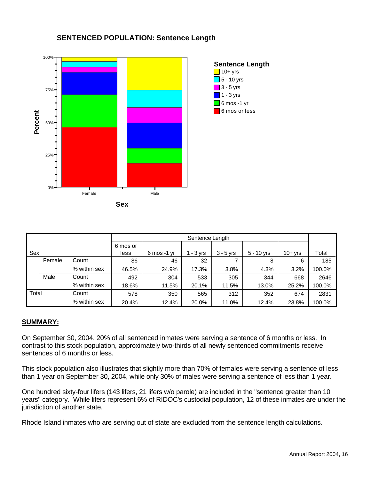

#### **SENTENCED POPULATION: Sentence Length**

|       |        |              |                  | Sentence Length          |             |             |              |          |        |  |  |
|-------|--------|--------------|------------------|--------------------------|-------------|-------------|--------------|----------|--------|--|--|
| Sex   |        |              | 6 mos or<br>less | $6 \,\mathrm{mos}$ -1 yr | $1 - 3$ yrs | $3 - 5$ yrs | $5 - 10$ yrs | $10+yrs$ | Total  |  |  |
|       | Female | Count        | 86               | 46                       | 32          |             | 8            | 6        | 185    |  |  |
|       |        | % within sex | 46.5%            | 24.9%                    | 17.3%       | 3.8%        | 4.3%         | 3.2%     | 100.0% |  |  |
|       | Male   | Count        | 492              | 304                      | 533         | 305         | 344          | 668      | 2646   |  |  |
|       |        | % within sex | 18.6%            | 11.5%                    | 20.1%       | 11.5%       | 13.0%        | 25.2%    | 100.0% |  |  |
| Total |        | Count        | 578              | 350                      | 565         | 312         | 352          | 674      | 2831   |  |  |
|       |        | % within sex | 20.4%            | 12.4%                    | 20.0%       | 11.0%       | 12.4%        | 23.8%    | 100.0% |  |  |

#### **SUMMARY:**

On September 30, 2004, 20% of all sentenced inmates were serving a sentence of 6 months or less. In contrast to this stock population, approximately two-thirds of all newly sentenced commitments receive sentences of 6 months or less.

This stock population also illustrates that slightly more than 70% of females were serving a sentence of less than 1 year on September 30, 2004, while only 30% of males were serving a sentence of less than 1 year.

One hundred sixty-four lifers (143 lifers, 21 lifers w/o parole) are included in the "sentence greater than 10 years" category. While lifers represent 6% of RIDOC's custodial population, 12 of these inmates are under the jurisdiction of another state.

Rhode Island inmates who are serving out of state are excluded from the sentence length calculations.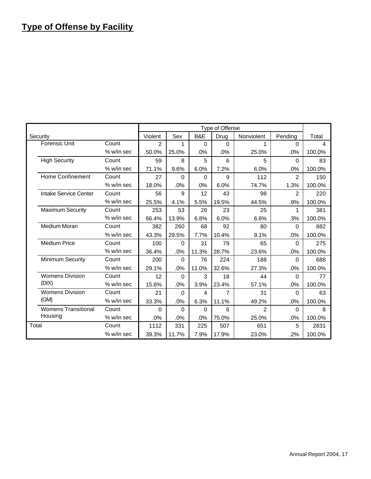### **Type of Offense by Facility**

|                            |              |         |          |          | Type of Offense |            |                |        |
|----------------------------|--------------|---------|----------|----------|-----------------|------------|----------------|--------|
| Security                   |              | Violent | Sex      | B&E      | Drug            | Nonviolent | Pending        | Total  |
| <b>Forensic Unit</b>       | Count        | 2       | 1        | $\Omega$ | $\Omega$        | 1          | $\Omega$       | 4      |
|                            | % w/in sec   | 50.0%   | 25.0%    | .0%      | .0%             | 25.0%      | .0%            | 100.0% |
| <b>High Security</b>       | Count        | 59      | 8        | 5        | 6               | 5          | $\Omega$       | 83     |
|                            | $%$ w/in sec | 71.1%   | 9.6%     | 6.0%     | 7.2%            | 6.0%       | .0%            | 100.0% |
| <b>Home Confinement</b>    | Count        | 27      | $\Omega$ | $\Omega$ | 9               | 112        | $\mathfrak{p}$ | 150    |
|                            | % w/in sec   | 18.0%   | .0%      | .0%      | 6.0%            | 74.7%      | 1.3%           | 100.0% |
| Intake Service Center      | Count        | 56      | 9        | 12       | 43              | 98         | $\mathcal{P}$  | 220    |
|                            | % w/in sec   | 25.5%   | 4.1%     | 5.5%     | 19.5%           | 44.5%      | .9%            | 100.0% |
| <b>Maximum Security</b>    | Count        | 253     | 53       | 26       | 23              | 25         | 1              | 381    |
|                            | % w/in sec   | 66.4%   | 13.9%    | 6.8%     | 6.0%            | 6.6%       | .3%            | 100.0% |
| <b>Medium Moran</b>        | Count        | 382     | 260      | 68       | 92              | 80         | 0              | 882    |
|                            | $%$ w/in sec | 43.3%   | 29.5%    | 7.7%     | 10.4%           | 9.1%       | .0%            | 100.0% |
| <b>Medium Price</b>        | Count        | 100     | $\Omega$ | 31       | 79              | 65         | $\Omega$       | 275    |
|                            | % w/in sec   | 36.4%   | .0%      | 11.3%    | 28.7%           | 23.6%      | .0%            | 100.0% |
| Minimum Security           | Count        | 200     | $\Omega$ | 76       | 224             | 188        | $\Omega$       | 688    |
|                            | $%$ w/in sec | 29.1%   | .0%      | 11.0%    | 32.6%           | 27.3%      | .0%            | 100.0% |
| <b>Womens Division</b>     | Count        | 12      | 0        | 3        | 18              | 44         | 0              | 77     |
| (DIX)                      | % w/in sec   | 15.6%   | .0%      | 3.9%     | 23.4%           | 57.1%      | .0%            | 100.0% |
| <b>Womens Division</b>     | Count        | 21      | $\Omega$ | 4        | 7               | 31         | $\Omega$       | 63     |
| (GM)                       | % w/in sec   | 33.3%   | .0%      | 6.3%     | 11.1%           | 49.2%      | .0%            | 100.0% |
| <b>Womens Transitional</b> | Count        | 0       | $\Omega$ | $\Omega$ | 6               | 2          | 0              | 8      |
| Housing                    | % w/in sec   | .0%     | .0%      | .0%      | 75.0%           | 25.0%      | .0%            | 100.0% |
| Total                      | Count        | 1112    | 331      | 225      | 507             | 651        | 5              | 2831   |
|                            | % w/in sec   | 39.3%   | 11.7%    | 7.9%     | 17.9%           | 23.0%      | .2%            | 100.0% |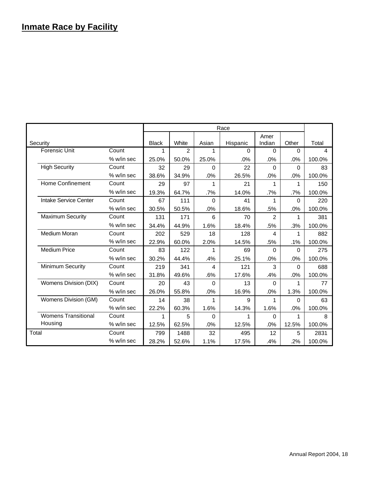### **Inmate Race by Facility**

|       |                            |              |              |       |          | Race     |          |          |        |
|-------|----------------------------|--------------|--------------|-------|----------|----------|----------|----------|--------|
|       |                            |              |              |       |          |          | Amer     |          |        |
|       | Security                   |              | <b>Black</b> | White | Asian    | Hispanic | Indian   | Other    | Total  |
|       | <b>Forensic Unit</b>       | Count        | 1            | 2     | 1        | 0        | $\Omega$ | $\Omega$ | 4      |
|       |                            | $%$ w/in sec | 25.0%        | 50.0% | 25.0%    | .0%      | $.0\%$   | .0%      | 100.0% |
|       | <b>High Security</b>       | Count        | 32           | 29    | $\Omega$ | 22       | $\Omega$ | $\Omega$ | 83     |
|       |                            | $%$ w/in sec | 38.6%        | 34.9% | .0%      | 26.5%    | .0%      | .0%      | 100.0% |
|       | <b>Home Confinement</b>    | Count        | 29           | 97    | 1        | 21       | 1        | 1        | 150    |
|       |                            | % w/in sec   | 19.3%        | 64.7% | .7%      | 14.0%    | $.7\%$   | $.7\%$   | 100.0% |
|       | Intake Service Center      | Count        | 67           | 111   | $\Omega$ | 41       | 1        | $\Omega$ | 220    |
|       |                            | % w/in sec   | 30.5%        | 50.5% | .0%      | 18.6%    | .5%      | .0%      | 100.0% |
|       | <b>Maximum Security</b>    | Count        | 131          | 171   | 6        | 70       | 2        | 1        | 381    |
|       |                            | % w/in sec   | 34.4%        | 44.9% | 1.6%     | 18.4%    | .5%      | .3%      | 100.0% |
|       | Medium Moran               | Count        | 202          | 529   | 18       | 128      | 4        | 1        | 882    |
|       |                            | $%$ w/in sec | 22.9%        | 60.0% | 2.0%     | 14.5%    | .5%      | $.1\%$   | 100.0% |
|       | <b>Medium Price</b>        | Count        | 83           | 122   | 1        | 69       | 0        | $\Omega$ | 275    |
|       |                            | $%$ w/in sec | 30.2%        | 44.4% | .4%      | 25.1%    | .0%      | .0%      | 100.0% |
|       | Minimum Security           | Count        | 219          | 341   | 4        | 121      | 3        | $\Omega$ | 688    |
|       |                            | % w/in sec   | 31.8%        | 49.6% | .6%      | 17.6%    | .4%      | .0%      | 100.0% |
|       | Womens Division (DIX)      | Count        | 20           | 43    | $\Omega$ | 13       | 0        | 1        | 77     |
|       |                            | $%$ w/in sec | 26.0%        | 55.8% | .0%      | 16.9%    | .0%      | 1.3%     | 100.0% |
|       | Womens Division (GM)       | Count        | 14           | 38    | 1        | 9        | 1        | $\Omega$ | 63     |
|       |                            | $%$ w/in sec | 22.2%        | 60.3% | 1.6%     | 14.3%    | 1.6%     | .0%      | 100.0% |
|       | <b>Womens Transitional</b> | Count        | 1            | 5     | $\Omega$ | 1        | 0        | 1        | 8      |
|       | Housing                    | % w/in sec   | 12.5%        | 62.5% | .0%      | 12.5%    | .0%      | 12.5%    | 100.0% |
| Total |                            | Count        | 799          | 1488  | 32       | 495      | 12       | 5        | 2831   |
|       |                            | % w/in sec   | 28.2%        | 52.6% | 1.1%     | 17.5%    | .4%      | .2%      | 100.0% |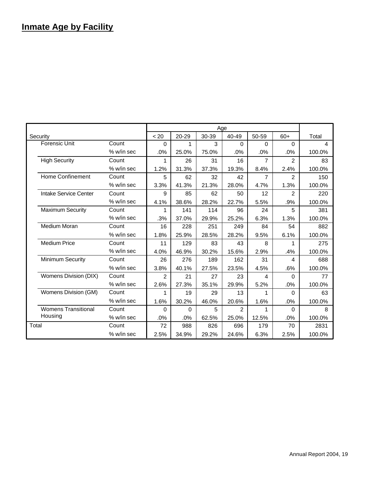### **Inmate Age by Facility**

|                            |              |          |           | Age   |                |                |                |        |
|----------------------------|--------------|----------|-----------|-------|----------------|----------------|----------------|--------|
| Security                   |              | < 20     | $20 - 29$ | 30-39 | 40-49          | 50-59          | $60+$          | Total  |
| <b>Forensic Unit</b>       | Count        | $\Omega$ | 1         | 3     | 0              | 0              | $\Omega$       | 4      |
|                            | % w/in sec   | .0%      | 25.0%     | 75.0% | .0%            | .0%            | .0%            | 100.0% |
| <b>High Security</b>       | Count        | 1        | 26        | 31    | 16             | $\overline{7}$ | $\overline{2}$ | 83     |
|                            | % w/in sec   | 1.2%     | 31.3%     | 37.3% | 19.3%          | 8.4%           | 2.4%           | 100.0% |
| <b>Home Confinement</b>    | Count        | 5        | 62        | 32    | 42             | 7              | $\mathcal{P}$  | 150    |
|                            | % w/in sec   | 3.3%     | 41.3%     | 21.3% | 28.0%          | 4.7%           | 1.3%           | 100.0% |
| Intake Service Center      | Count        | 9        | 85        | 62    | 50             | 12             | $\mathcal{P}$  | 220    |
|                            | % w/in sec   | 4.1%     | 38.6%     | 28.2% | 22.7%          | 5.5%           | .9%            | 100.0% |
| <b>Maximum Security</b>    | Count        | 1        | 141       | 114   | 96             | 24             | 5              | 381    |
|                            | % w/in sec   | .3%      | 37.0%     | 29.9% | 25.2%          | 6.3%           | 1.3%           | 100.0% |
| Medium Moran               | Count        | 16       | 228       | 251   | 249            | 84             | 54             | 882    |
|                            | $%$ w/in sec | 1.8%     | 25.9%     | 28.5% | 28.2%          | 9.5%           | 6.1%           | 100.0% |
| <b>Medium Price</b>        | Count        | 11       | 129       | 83    | 43             | 8              | 1              | 275    |
|                            | % w/in sec   | 4.0%     | 46.9%     | 30.2% | 15.6%          | 2.9%           | .4%            | 100.0% |
| <b>Minimum Security</b>    | Count        | 26       | 276       | 189   | 162            | 31             | 4              | 688    |
|                            | % w/in sec   | 3.8%     | 40.1%     | 27.5% | 23.5%          | 4.5%           | .6%            | 100.0% |
| Womens Division (DIX)      | Count        | 2        | 21        | 27    | 23             | 4              | $\Omega$       | 77     |
|                            | $%$ w/in sec | 2.6%     | 27.3%     | 35.1% | 29.9%          | 5.2%           | .0%            | 100.0% |
| Womens Division (GM)       | Count        | 1        | 19        | 29    | 13             | 1              | $\Omega$       | 63     |
|                            | % w/in sec   | 1.6%     | 30.2%     | 46.0% | 20.6%          | 1.6%           | .0%            | 100.0% |
| <b>Womens Transitional</b> | Count        | $\Omega$ | $\Omega$  | 5     | $\mathfrak{p}$ | 1              | $\Omega$       | 8      |
| Housing                    | % w/in sec   | .0%      | .0%       | 62.5% | 25.0%          | 12.5%          | .0%            | 100.0% |
| Total                      | Count        | 72       | 988       | 826   | 696            | 179            | 70             | 2831   |
|                            | % w/in sec   | 2.5%     | 34.9%     | 29.2% | 24.6%          | 6.3%           | 2.5%           | 100.0% |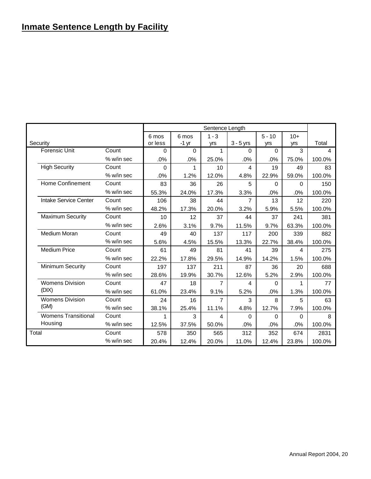### **Inmate Sentence Length by Facility**

|       |                            |            |          |          | Sentence Length |                |          |          |        |
|-------|----------------------------|------------|----------|----------|-----------------|----------------|----------|----------|--------|
|       |                            |            | 6 mos    | 6 mos    | $1 - 3$         |                | $5 - 10$ | $10+$    |        |
|       | Security                   |            | or less  | $-1$ yr  | yrs             | $3 - 5$ yrs    | yrs      | yrs      | Total  |
|       | <b>Forensic Unit</b>       | Count      | $\Omega$ | $\Omega$ | 1               | $\Omega$       | $\Omega$ | 3        | 4      |
|       |                            | % w/in sec | .0%      | .0%      | 25.0%           | .0%            | .0%      | 75.0%    | 100.0% |
|       | <b>High Security</b>       | Count      | $\Omega$ | 1        | 10              | 4              | 19       | 49       | 83     |
|       |                            | % w/in sec | .0%      | 1.2%     | 12.0%           | 4.8%           | 22.9%    | 59.0%    | 100.0% |
|       | <b>Home Confinement</b>    | Count      | 83       | 36       | 26              | 5              | $\Omega$ | $\Omega$ | 150    |
|       |                            | % w/in sec | 55.3%    | 24.0%    | 17.3%           | 3.3%           | $.0\%$   | .0%      | 100.0% |
|       | Intake Service Center      | Count      | 106      | 38       | 44              | $\overline{7}$ | 13       | 12       | 220    |
|       |                            | % w/in sec | 48.2%    | 17.3%    | 20.0%           | 3.2%           | 5.9%     | 5.5%     | 100.0% |
|       | <b>Maximum Security</b>    | Count      | 10       | 12       | 37              | 44             | 37       | 241      | 381    |
|       |                            | % w/in sec | 2.6%     | 3.1%     | 9.7%            | 11.5%          | 9.7%     | 63.3%    | 100.0% |
|       | Medium Moran               | Count      | 49       | 40       | 137             | 117            | 200      | 339      | 882    |
|       |                            | % w/in sec | 5.6%     | 4.5%     | 15.5%           | 13.3%          | 22.7%    | 38.4%    | 100.0% |
|       | <b>Medium Price</b>        | Count      | 61       | 49       | 81              | 41             | 39       | 4        | 275    |
|       |                            | % w/in sec | 22.2%    | 17.8%    | 29.5%           | 14.9%          | 14.2%    | 1.5%     | 100.0% |
|       | <b>Minimum Security</b>    | Count      | 197      | 137      | 211             | 87             | 36       | 20       | 688    |
|       |                            | % w/in sec | 28.6%    | 19.9%    | 30.7%           | 12.6%          | 5.2%     | 2.9%     | 100.0% |
|       | <b>Womens Division</b>     | Count      | 47       | 18       | $\overline{7}$  | $\overline{4}$ | $\Omega$ | 1        | 77     |
|       | (DIX)                      | % w/in sec | 61.0%    | 23.4%    | 9.1%            | 5.2%           | .0%      | 1.3%     | 100.0% |
|       | <b>Womens Division</b>     | Count      | 24       | 16       | 7               | 3              | 8        | 5        | 63     |
|       | (GM)                       | % w/in sec | 38.1%    | 25.4%    | 11.1%           | 4.8%           | 12.7%    | 7.9%     | 100.0% |
|       | <b>Womens Transitional</b> | Count      | 1        | 3        | 4               | $\Omega$       | $\Omega$ | 0        | 8      |
|       | Housing                    | % w/in sec | 12.5%    | 37.5%    | 50.0%           | .0%            | .0%      | .0%      | 100.0% |
| Total |                            | Count      | 578      | 350      | 565             | 312            | 352      | 674      | 2831   |
|       |                            | % w/in sec | 20.4%    | 12.4%    | 20.0%           | 11.0%          | 12.4%    | 23.8%    | 100.0% |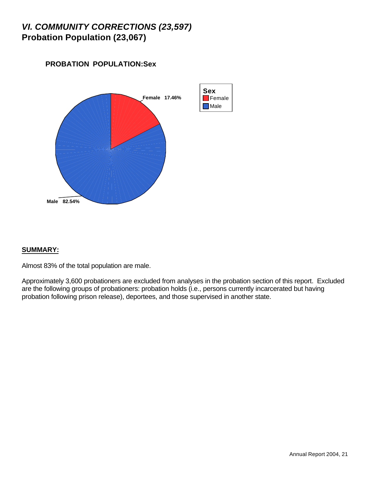### *VI. COMMUNITY CORRECTIONS (23,597)* **Probation Population (23,067)**





#### **SUMMARY:**

Almost 83% of the total population are male.

Approximately 3,600 probationers are excluded from analyses in the probation section of this report. Excluded are the following groups of probationers: probation holds (i.e., persons currently incarcerated but having probation following prison release), deportees, and those supervised in another state.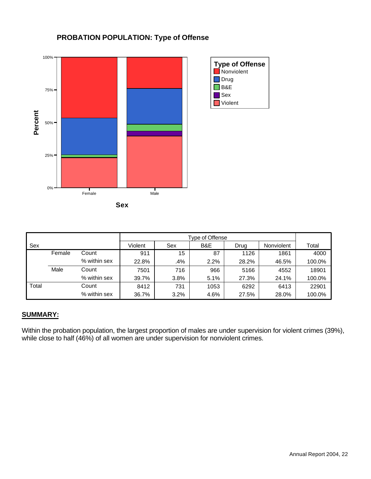

#### **PROBATION POPULATION: Type of Offense**



|       |        |              | Type of Offense |      |      |       |            |        |
|-------|--------|--------------|-----------------|------|------|-------|------------|--------|
| Sex   |        |              | Violent         | Sex  | B&E  | Drug  | Nonviolent | Total  |
|       | Female | Count        | 911             | 15   | 87   | 1126  | 1861       | 4000   |
|       |        | % within sex | 22.8%           | .4%  | 2.2% | 28.2% | 46.5%      | 100.0% |
|       | Male   | Count        | 7501            | 716  | 966  | 5166  | 4552       | 18901  |
|       |        | % within sex | 39.7%           | 3.8% | 5.1% | 27.3% | 24.1%      | 100.0% |
| Total |        | Count        | 8412            | 731  | 1053 | 6292  | 6413       | 22901  |
|       |        | % within sex | 36.7%           | 3.2% | 4.6% | 27.5% | 28.0%      | 100.0% |

#### **SUMMARY:**

Within the probation population, the largest proportion of males are under supervision for violent crimes (39%), while close to half (46%) of all women are under supervision for nonviolent crimes.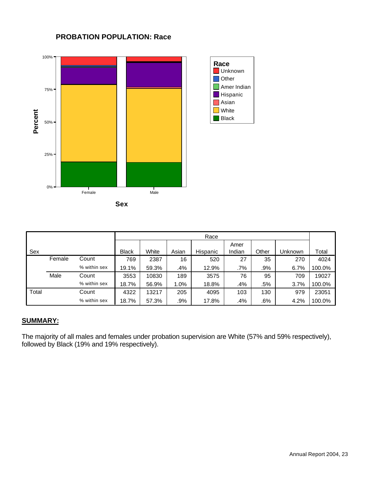

#### **PROBATION POPULATION: Race**



|       |        |              |              |       |       | Race     |                |       |         |        |
|-------|--------|--------------|--------------|-------|-------|----------|----------------|-------|---------|--------|
| Sex   |        |              | <b>Black</b> | White | Asian | Hispanic | Amer<br>Indian | Other | Unknown | Total  |
|       | Female | Count        | 769          | 2387  | 16    | 520      | 27             | 35    | 270     | 4024   |
|       |        | % within sex | 19.1%        | 59.3% | .4%   | 12.9%    | .7%            | .9%   | 6.7%    | 100.0% |
|       | Male   | Count        | 3553         | 10830 | 189   | 3575     | 76             | 95    | 709     | 19027  |
|       |        | % within sex | 18.7%        | 56.9% | 1.0%  | 18.8%    | .4%            | .5%   | 3.7%    | 100.0% |
| Total |        | Count        | 4322         | 13217 | 205   | 4095     | 103            | 130   | 979     | 23051  |
|       |        | % within sex | 18.7%        | 57.3% | .9%   | 17.8%    | .4%            | .6%   | 4.2%    | 100.0% |

#### **SUMMARY:**

The majority of all males and females under probation supervision are White (57% and 59% respectively), followed by Black (19% and 19% respectively).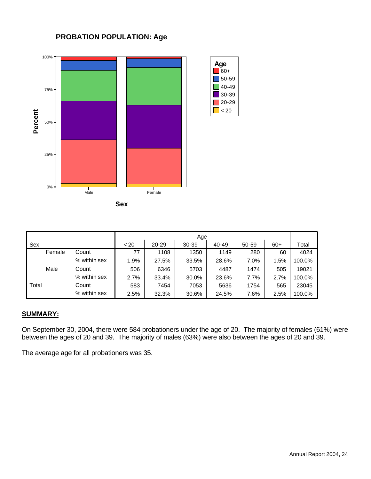#### **PROBATION POPULATION: Age**



| v<br>×<br>۰,<br>٧ |  |
|-------------------|--|

|       |        |              | Age  |       |       |       |       |       |        |  |
|-------|--------|--------------|------|-------|-------|-------|-------|-------|--------|--|
| Sex   |        |              | < 20 | 20-29 | 30-39 | 40-49 | 50-59 | $60+$ | Total  |  |
|       | Female | Count        | 77   | 1108  | 1350  | 1149  | 280   | 60    | 4024   |  |
|       |        | % within sex | 1.9% | 27.5% | 33.5% | 28.6% | 7.0%  | 1.5%  | 100.0% |  |
|       | Male   | Count        | 506  | 6346  | 5703  | 4487  | 1474  | 505   | 19021  |  |
|       |        | % within sex | 2.7% | 33.4% | 30.0% | 23.6% | 7.7%  | 2.7%  | 100.0% |  |
| Total |        | Count        | 583  | 7454  | 7053  | 5636  | 1754  | 565   | 23045  |  |
|       |        | % within sex | 2.5% | 32.3% | 30.6% | 24.5% | 7.6%  | 2.5%  | 100.0% |  |

60+  $\Box$  50-59  $\Box$  40-49 30-39 20-29  $\Box$  < 20

**Age**

#### **SUMMARY:**

On September 30, 2004, there were 584 probationers under the age of 20. The majority of females (61%) were between the ages of 20 and 39. The majority of males (63%) were also between the ages of 20 and 39.

The average age for all probationers was 35.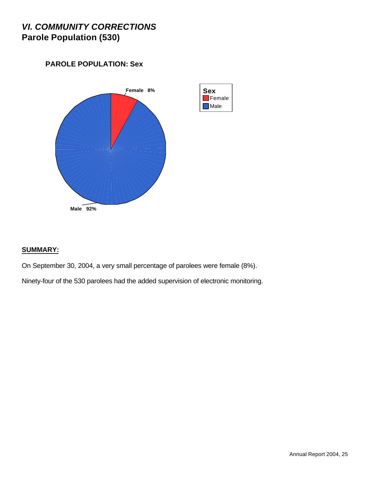### *VI. COMMUNITY CORRECTIONS* **Parole Population (530)**

### **PAROLE POPULATION: Sex**



#### **SUMMARY:**

On September 30, 2004, a very small percentage of parolees were female (8%).

Ninety-four of the 530 parolees had the added supervision of electronic monitoring.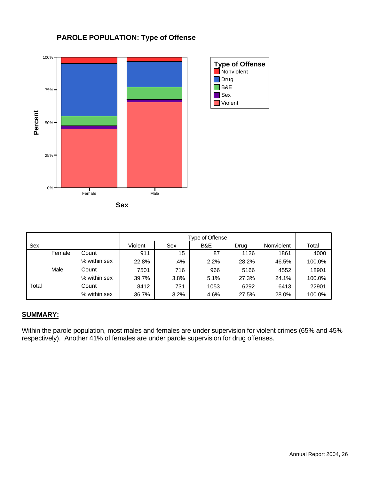

#### **PAROLE POPULATION: Type of Offense**



|       |        |              |         |      | Type of Offense |       |            |        |
|-------|--------|--------------|---------|------|-----------------|-------|------------|--------|
| Sex   |        |              | Violent | Sex  | B&E             | Drug  | Nonviolent | Total  |
|       | Female | Count        | 911     | 15   | 87              | 1126  | 1861       | 4000   |
|       |        | % within sex | 22.8%   | 4%   | 2.2%            | 28.2% | 46.5%      | 100.0% |
|       | Male   | Count        | 7501    | 716  | 966             | 5166  | 4552       | 18901  |
|       |        | % within sex | 39.7%   | 3.8% | 5.1%            | 27.3% | 24.1%      | 100.0% |
| Total |        | Count        | 8412    | 731  | 1053            | 6292  | 6413       | 22901  |
|       |        | % within sex | 36.7%   | 3.2% | 4.6%            | 27.5% | 28.0%      | 100.0% |

#### **SUMMARY:**

Within the parole population, most males and females are under supervision for violent crimes (65% and 45% respectively). Another 41% of females are under parole supervision for drug offenses.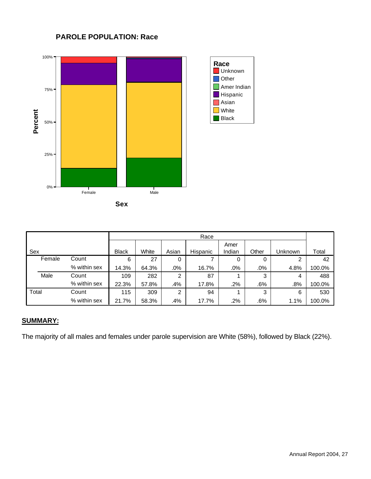#### **PAROLE POPULATION: Race**





|       |        |              |              |       |       | Race     |        |        |         |        |
|-------|--------|--------------|--------------|-------|-------|----------|--------|--------|---------|--------|
|       |        |              |              |       |       |          | Amer   |        |         |        |
| Sex   |        |              | <b>Black</b> | White | Asian | Hispanic | Indian | Other  | Unknown | Total  |
|       | Female | Count        | 6            | 27    | 0     |          | 0      | 0      | 2       | 42     |
|       |        | % within sex | 14.3%        | 64.3% | .0%   | 16.7%    | .0%    | $.0\%$ | 4.8%    | 100.0% |
|       | Male   | Count        | 109          | 282   | 2     | 87       |        | 3      | 4       | 488    |
|       |        | % within sex | 22.3%        | 57.8% | .4%   | 17.8%    | .2%    | .6%    | $.8\%$  | 100.0% |
| Total |        | Count        | 115          | 309   | 2     | 94       |        | 3      | 6       | 530    |
|       |        | % within sex | 21.7%        | 58.3% | .4%   | 17.7%    | $.2\%$ | .6%    | 1.1%    | 100.0% |

#### **SUMMARY:**

The majority of all males and females under parole supervision are White (58%), followed by Black (22%).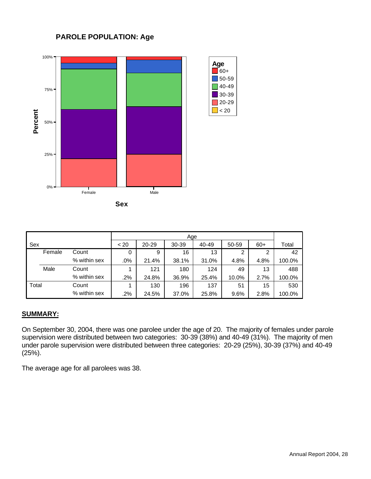#### **PAROLE POPULATION: Age**



| 전 사<br>. .<br>۰.<br>v | ۰,<br>×<br>۰. |  |
|-----------------------|---------------|--|
|                       |               |  |

|       |        |              | Age    |           |           |       |       |       |        |
|-------|--------|--------------|--------|-----------|-----------|-------|-------|-------|--------|
| Sex   |        |              | < 20   | $20 - 29$ | $30 - 39$ | 40-49 | 50-59 | $60+$ | Total  |
|       | Female | Count        | 0      | 9         | 16        | 13    | 2     | າ     | 42     |
|       |        | % within sex | .0%    | 21.4%     | 38.1%     | 31.0% | 4.8%  | 4.8%  | 100.0% |
|       | Male   | Count        |        | 121       | 180       | 124   | 49    | 13    | 488    |
|       |        | % within sex | $.2\%$ | 24.8%     | 36.9%     | 25.4% | 10.0% | 2.7%  | 100.0% |
| Total |        | Count        |        | 130       | 196       | 137   | 51    | 15    | 530    |
|       |        | % within sex | $.2\%$ | 24.5%     | 37.0%     | 25.8% | 9.6%  | 2.8%  | 100.0% |

#### **SUMMARY:**

On September 30, 2004, there was one parolee under the age of 20. The majority of females under parole supervision were distributed between two categories: 30-39 (38%) and 40-49 (31%). The majority of men under parole supervision were distributed between three categories: 20-29 (25%), 30-39 (37%) and 40-49 (25%).

The average age for all parolees was 38.